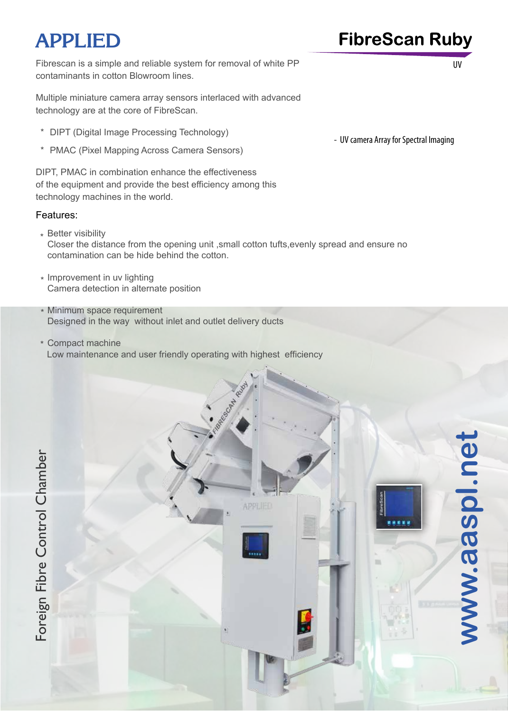Fibrescan is a simple and reliable system for removal of white PP contaminants in cotton Blowroom lines.

Multiple miniature camera array sensors interlaced with advanced technology are at the core of FibreScan.

- \* DIPT (Digital Image Processing Technology)
- \* PMAC (Pixel Mapping Across Camera Sensors)

DIPT, PMAC in combination enhance the effectiveness of the equipment and provide the best efficiency among this technology machines in the world.

### Features:

\* Better visibility Closer the distance from the opening unit ,small cotton tufts,evenly spread and ensure no contamination can be hide behind the cotton.

**APPLIED** 

- \* Improvement in uv lighting Camera detection in alternate position
- Minimum space requirement \* Designed in the way without inlet and outlet delivery ducts
- Compact machine \* Low maintenance and user friendly operating with highest efficiency

Foreign Fibre Control Chamber Foreign Fibre Control Chamber



**APPLIED FibreScan Ruby**

UV

ww.aaspl.ne

**w.aaspl.net**

...